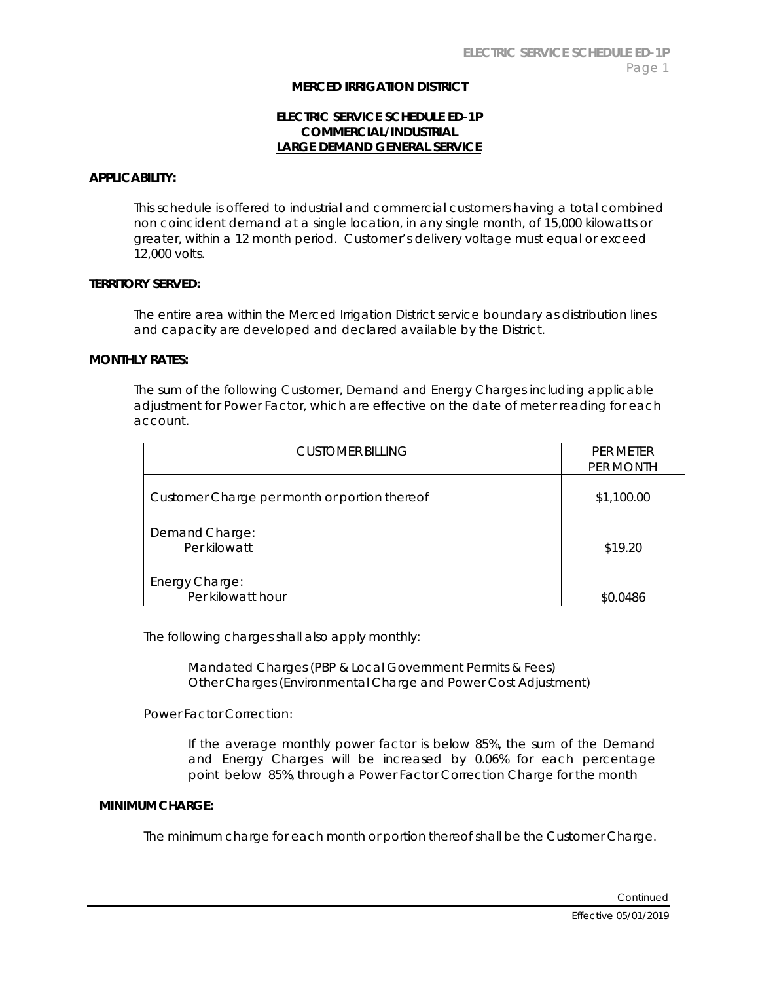## **MERCED IRRIGATION DISTRICT**

# **ELECTRIC SERVICE SCHEDULE ED-1P COMMERCIAL/INDUSTRIAL LARGE DEMAND GENERAL SERVICE**

### **APPLICABILITY:**

This schedule is offered to industrial and commercial customers having a total combined non coincident demand at a single location, in any single month, of 15,000 kilowatts or greater, within a 12 month period. Customer's delivery voltage must equal or exceed 12,000 volts.

# **TERRITORY SERVED:**

The entire area within the Merced Irrigation District service boundary as distribution lines and capacity are developed and declared available by the District.

### **MONTHLY RATES:**

The sum of the following Customer, Demand and Energy Charges including applicable adjustment for Power Factor, which are effective on the date of meter reading for each account.

| CUSTOMER BILLING                             | PER METER<br>PER MONTH |
|----------------------------------------------|------------------------|
| Customer Charge per month or portion thereof | \$1,100.00             |
| Demand Charge:<br>Per kilowatt               | \$19.20                |
| Energy Charge:<br>Per kilowatt hour          | \$0.0486               |

The following charges shall also apply monthly:

Mandated Charges (PBP & Local Government Permits & Fees) Other Charges (Environmental Charge and Power Cost Adjustment)

Power Factor Correction:

If the average monthly power factor is below 85%, the sum of the Demand and Energy Charges will be increased by 0.06% for each percentage point below 85%, through a Power Factor Correction Charge for the month

### **MINIMUM CHARGE:**

The minimum charge for each month or portion thereof shall be the Customer Charge.